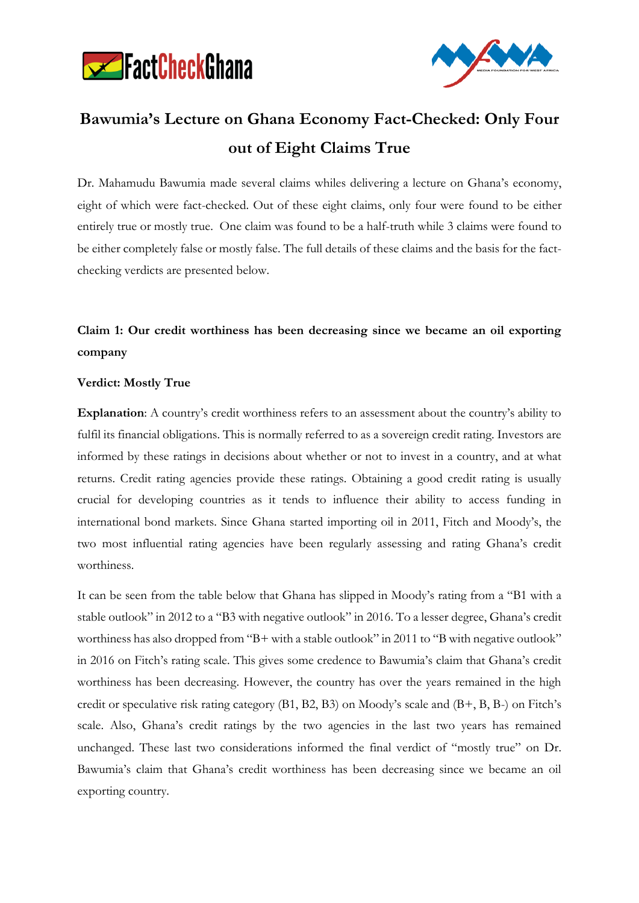



# **Bawumia's Lecture on Ghana Economy Fact-Checked: Only Four out of Eight Claims True**

Dr. Mahamudu Bawumia made several claims whiles delivering a lecture on Ghana's economy, eight of which were fact-checked. Out of these eight claims, only four were found to be either entirely true or mostly true. One claim was found to be a half-truth while 3 claims were found to be either completely false or mostly false. The full details of these claims and the basis for the factchecking verdicts are presented below.

# **Claim 1: Our credit worthiness has been decreasing since we became an oil exporting company**

#### **Verdict: Mostly True**

**Explanation**: A country's credit worthiness refers to an assessment about the country's ability to fulfil its financial obligations. This is normally referred to as a sovereign credit rating. Investors are informed by these ratings in decisions about whether or not to invest in a country, and at what returns. Credit rating agencies provide these ratings. Obtaining a good credit rating is usually crucial for developing countries as it tends to influence their ability to access funding in international bond markets. Since Ghana started importing oil in 2011, Fitch and Moody's, the two most influential rating agencies have been regularly assessing and rating Ghana's credit worthiness.

It can be seen from the table below that Ghana has slipped in Moody's rating from a "B1 with a stable outlook" in 2012 to a "B3 with negative outlook" in 2016. To a lesser degree, Ghana's credit worthiness has also dropped from "B+ with a stable outlook" in 2011 to "B with negative outlook" in 2016 on Fitch's rating scale. This gives some credence to Bawumia's claim that Ghana's credit worthiness has been decreasing. However, the country has over the years remained in the high credit or speculative risk rating category (B1, B2, B3) on Moody's scale and (B+, B, B-) on Fitch's scale. Also, Ghana's credit ratings by the two agencies in the last two years has remained unchanged. These last two considerations informed the final verdict of "mostly true" on Dr. Bawumia's claim that Ghana's credit worthiness has been decreasing since we became an oil exporting country.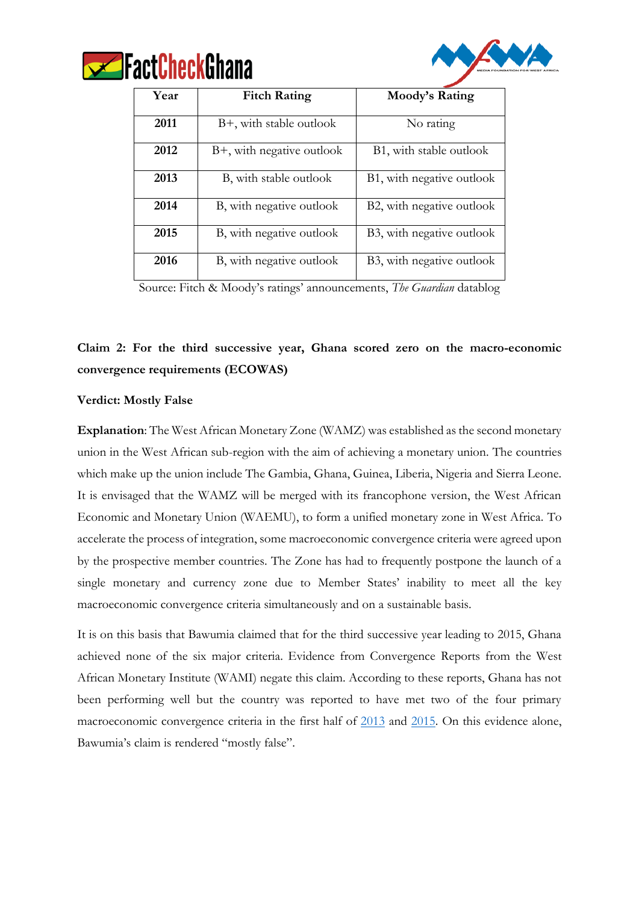



| Year | <b>Fitch Rating</b>        | Moody's Rating            |
|------|----------------------------|---------------------------|
| 2011 | $B+$ , with stable outlook | No rating                 |
| 2012 | B+, with negative outlook  | B1, with stable outlook   |
| 2013 | B, with stable outlook     | B1, with negative outlook |
| 2014 | B, with negative outlook   | B2, with negative outlook |
| 2015 | B, with negative outlook   | B3, with negative outlook |
| 2016 | B, with negative outlook   | B3, with negative outlook |

Source: Fitch & Moody's ratings' announcements, *The Guardian* datablog

# **Claim 2: For the third successive year, Ghana scored zero on the macro-economic convergence requirements (ECOWAS)**

#### **Verdict: Mostly False**

**Explanation**: The West African Monetary Zone (WAMZ) was established as the second monetary union in the West African sub-region with the aim of achieving a monetary union. The countries which make up the union include The Gambia, Ghana, Guinea, Liberia, Nigeria and Sierra Leone. It is envisaged that the WAMZ will be merged with its francophone version, the West African Economic and Monetary Union (WAEMU), to form a unified monetary zone in West Africa. To accelerate the process of integration, some macroeconomic convergence criteria were agreed upon by the prospective member countries. The Zone has had to frequently postpone the launch of a single monetary and currency zone due to Member States' inability to meet all the key macroeconomic convergence criteria simultaneously and on a sustainable basis.

It is on this basis that Bawumia claimed that for the third successive year leading to 2015, Ghana achieved none of the six major criteria. Evidence from Convergence Reports from the West African Monetary Institute (WAMI) negate this claim. According to these reports, Ghana has not been performing well but the country was reported to have met two of the four primary macroeconomic convergence criteria in the first half of [2013](https://www.google.com.gh/url?sa=t&rct=j&q=&esrc=s&source=web&cd=2&cad=rja&uact=8&ved=0ahUKEwiRkbuLnofPAhVJBsAKHYNRDf8QFggiMAE&url=http%3A%2F%2Fwww.wami-imao.org%2Fsites%2Fdefault%2Ffiles%2FConvergence%2520Reports%2FFinal%2520Report%2520Technical%2520-%2520Banjul%25202014.doc&usg=AFQjCNFifcPByrqhHO6ufLBPZeu5q0RPCg&sig2=I1W3YBhrfYbm9YLC4eedzA) and [2015.](http://www.wami-imao.org/?q=node/160) On this evidence alone, Bawumia's claim is rendered "mostly false".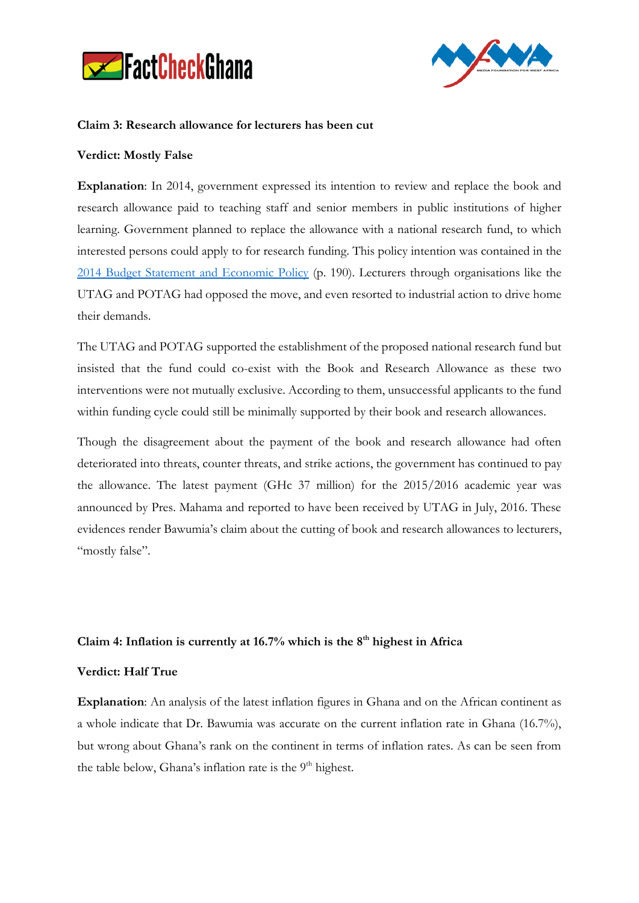



#### **Claim 3: Research allowance for lecturers has been cut**

#### **Verdict: Mostly False**

**Explanation**: In 2014, government expressed its intention to review and replace the book and research allowance paid to teaching staff and senior members in public institutions of higher learning. Government planned to replace the allowance with a national research fund, to which interested persons could apply to for research funding. This policy intention was contained in the [2014 Budget Statement and Economic Policy](http://www.mofep.gov.gh/sites/default/files/news/2014_Budget_Statement.pdf) (p. 190). Lecturers through organisations like the UTAG and POTAG had opposed the move, and even resorted to industrial action to drive home their demands.

The UTAG and POTAG supported the establishment of the proposed national research fund but insisted that the fund could co-exist with the Book and Research Allowance as these two interventions were not mutually exclusive. According to them, unsuccessful applicants to the fund within funding cycle could still be minimally supported by their book and research allowances.

Though the disagreement about the payment of the book and research allowance had often deteriorated into threats, counter threats, and strike actions, the government has continued to pay the allowance. The latest payment (GHc 37 million) for the 2015/2016 academic year was announced by Pres. Mahama and reported to have been received by UTAG in July, 2016. These evidences render Bawumia's claim about the cutting of book and research allowances to lecturers, "mostly false".

#### **Claim 4: Inflation is currently at 16.7% which is the 8th highest in Africa**

#### **Verdict: Half True**

**Explanation**: An analysis of the latest inflation figures in Ghana and on the African continent as a whole indicate that Dr. Bawumia was accurate on the current inflation rate in Ghana (16.7%), but wrong about Ghana's rank on the continent in terms of inflation rates. As can be seen from the table below, Ghana's inflation rate is the 9<sup>th</sup> highest.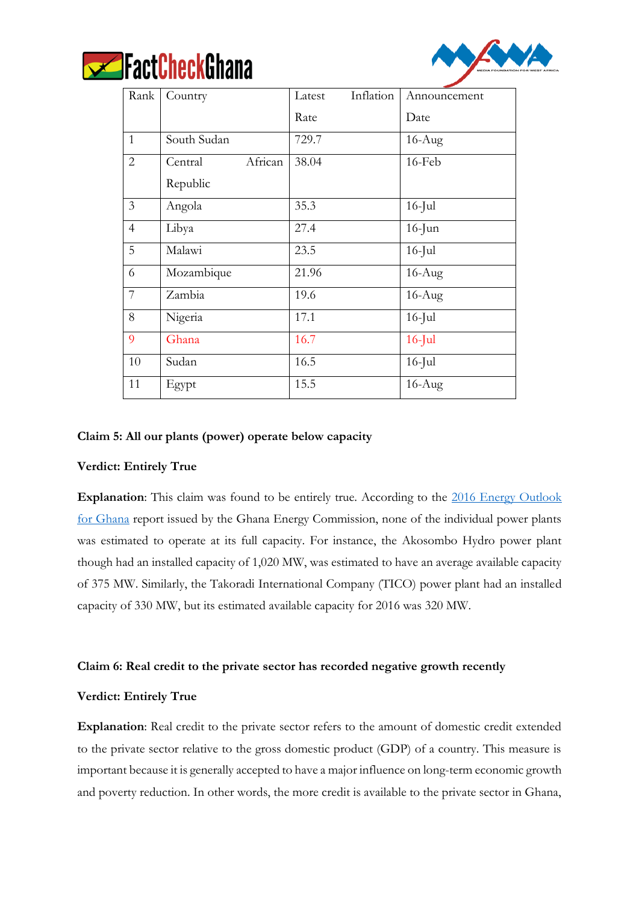



| Rank           | Country            | Inflation<br>Latest | Announcement |
|----------------|--------------------|---------------------|--------------|
|                |                    | Rate                | Date         |
| $\mathbf{1}$   | South Sudan        | 729.7               | $16$ -Aug    |
| 2              | African<br>Central | 38.04               | 16-Feb       |
|                | Republic           |                     |              |
| 3              | Angola             | 35.3                | $16$ -Jul    |
| $\overline{4}$ | Libya              | 27.4                | $16$ -Jun    |
| 5              | Malawi             | 23.5                | $16$ -Jul    |
| 6              | Mozambique         | 21.96               | $16$ -Aug    |
| 7              | Zambia             | 19.6                | $16$ -Aug    |
| 8              | Nigeria            | 17.1                | $16$ -Jul    |
| 9              | Ghana              | 16.7                | $16$ -Jul    |
| 10             | Sudan              | 16.5                | $16$ -Jul    |
| 11             | Egypt              | 15.5                | $16$ -Aug    |

#### **Claim 5: All our plants (power) operate below capacity**

#### **Verdict: Entirely True**

**Explanation**: This claim was found to be entirely true. According to the 2016 Energy Outlook [for Ghana](http://www.energycom.gov.gh/files/Energy%20Commission%20-%202016Energy%20Outlook%20for%20Ghana_final.pdf) report issued by the Ghana Energy Commission, none of the individual power plants was estimated to operate at its full capacity. For instance, the Akosombo Hydro power plant though had an installed capacity of 1,020 MW, was estimated to have an average available capacity of 375 MW. Similarly, the Takoradi International Company (TICO) power plant had an installed capacity of 330 MW, but its estimated available capacity for 2016 was 320 MW.

#### **Claim 6: Real credit to the private sector has recorded negative growth recently**

#### **Verdict: Entirely True**

**Explanation**: Real credit to the private sector refers to the amount of domestic credit extended to the private sector relative to the gross domestic product (GDP) of a country. This measure is important because it is generally accepted to have a major influence on long-term economic growth and poverty reduction. In other words, the more credit is available to the private sector in Ghana,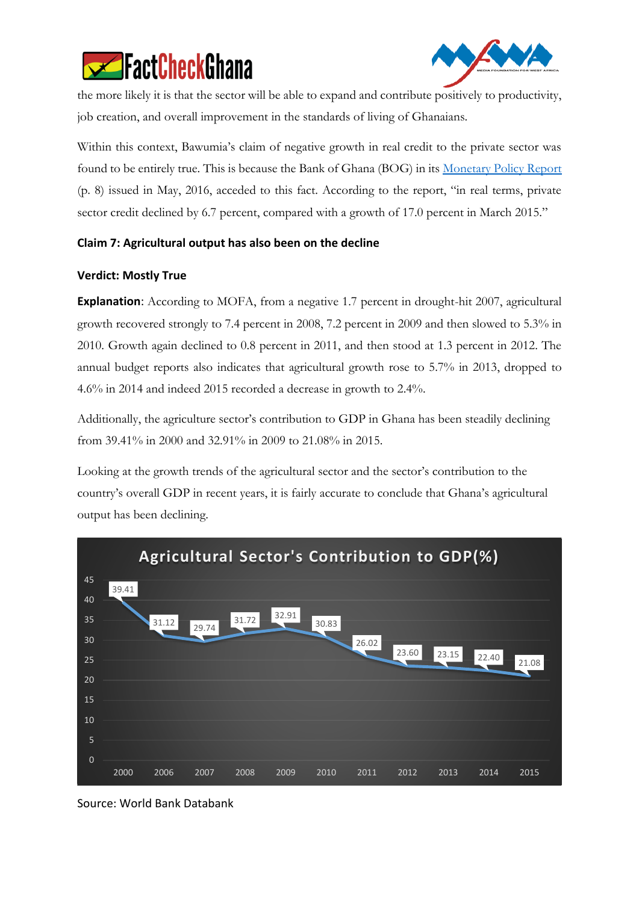



the more likely it is that the sector will be able to expand and contribute positively to productivity, job creation, and overall improvement in the standards of living of Ghanaians.

Within this context, Bawumia's claim of negative growth in real credit to the private sector was found to be entirely true. This is because the Bank of Ghana (BOG) in its [Monetary Policy Report](https://www.bog.gov.gh/privatecontent/MPC_Press_Releases/Monetary%20Policy%20Report%20-%20May%202016.pdf) (p. 8) issued in May, 2016, acceded to this fact. According to the report, "in real terms, private sector credit declined by 6.7 percent, compared with a growth of 17.0 percent in March 2015."

## **Claim 7: Agricultural output has also been on the decline**

## **Verdict: Mostly True**

**Explanation**: According to MOFA, from a negative 1.7 percent in drought-hit 2007, agricultural growth recovered strongly to 7.4 percent in 2008, 7.2 percent in 2009 and then slowed to 5.3% in 2010. Growth again declined to 0.8 percent in 2011, and then stood at 1.3 percent in 2012. The annual budget reports also indicates that agricultural growth rose to 5.7% in 2013, dropped to 4.6% in 2014 and indeed 2015 recorded a decrease in growth to 2.4%.

Additionally, the agriculture sector's contribution to GDP in Ghana has been steadily declining from 39.41% in 2000 and 32.91% in 2009 to 21.08% in 2015.

Looking at the growth trends of the agricultural sector and the sector's contribution to the country's overall GDP in recent years, it is fairly accurate to conclude that Ghana's agricultural output has been declining.



Source: World Bank Databank